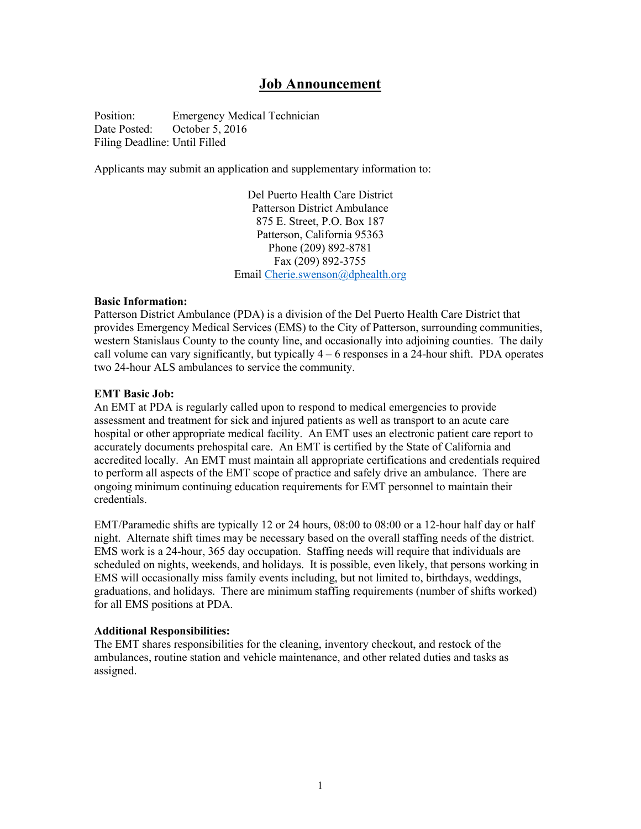# Job Announcement

Position: Emergency Medical Technician Date Posted: October 5, 2016 Filing Deadline: Until Filled

Applicants may submit an application and supplementary information to:

Del Puerto Health Care District Patterson District Ambulance 875 E. Street, P.O. Box 187 Patterson, California 95363 Phone (209) 892-8781 Fax (209) 892-3755 Email Cherie.swenson@dphealth.org

#### Basic Information:

Patterson District Ambulance (PDA) is a division of the Del Puerto Health Care District that provides Emergency Medical Services (EMS) to the City of Patterson, surrounding communities, western Stanislaus County to the county line, and occasionally into adjoining counties. The daily call volume can vary significantly, but typically  $4 - 6$  responses in a 24-hour shift. PDA operates two 24-hour ALS ambulances to service the community.

## EMT Basic Job:

An EMT at PDA is regularly called upon to respond to medical emergencies to provide assessment and treatment for sick and injured patients as well as transport to an acute care hospital or other appropriate medical facility. An EMT uses an electronic patient care report to accurately documents prehospital care. An EMT is certified by the State of California and accredited locally. An EMT must maintain all appropriate certifications and credentials required to perform all aspects of the EMT scope of practice and safely drive an ambulance. There are ongoing minimum continuing education requirements for EMT personnel to maintain their credentials.

EMT/Paramedic shifts are typically 12 or 24 hours, 08:00 to 08:00 or a 12-hour half day or half night. Alternate shift times may be necessary based on the overall staffing needs of the district. EMS work is a 24-hour, 365 day occupation. Staffing needs will require that individuals are scheduled on nights, weekends, and holidays. It is possible, even likely, that persons working in EMS will occasionally miss family events including, but not limited to, birthdays, weddings, graduations, and holidays. There are minimum staffing requirements (number of shifts worked) for all EMS positions at PDA.

## Additional Responsibilities:

The EMT shares responsibilities for the cleaning, inventory checkout, and restock of the ambulances, routine station and vehicle maintenance, and other related duties and tasks as assigned.